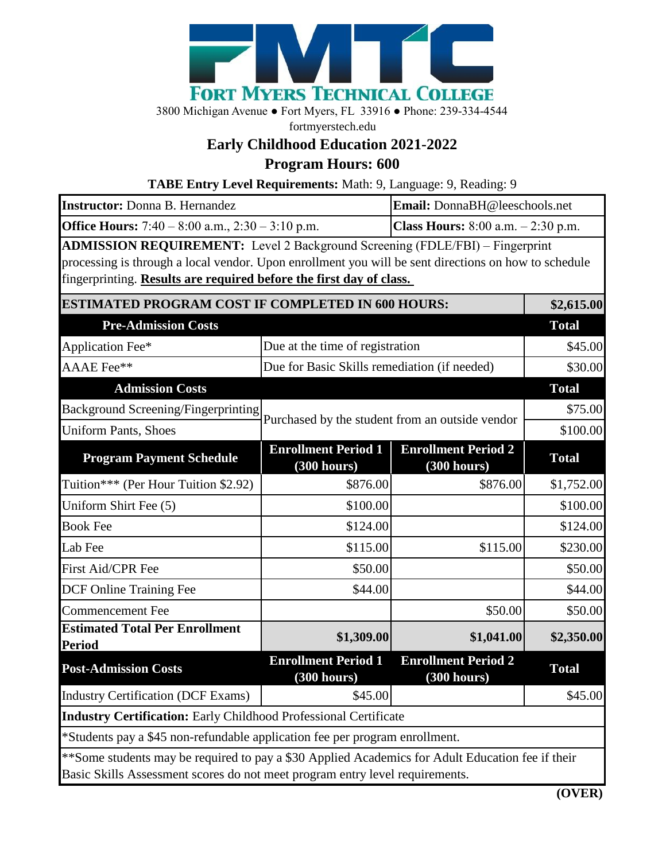

3800 Michigan Avenue ● Fort Myers, FL 33916 ● Phone: 239-334-4544

fortmyerstech.edu

## **Early Childhood Education 2021-2022**

**Program Hours: 600**

**TABE Entry Level Requirements:** Math: 9, Language: 9, Reading: 9

| Instructor: Donna B. Hernandez                                                                                                                                                                                                                                     |                                                 | Email: DonnaBH@leeschools.net                |              |
|--------------------------------------------------------------------------------------------------------------------------------------------------------------------------------------------------------------------------------------------------------------------|-------------------------------------------------|----------------------------------------------|--------------|
| <b>Office Hours:</b> 7:40 – 8:00 a.m., 2:30 – 3:10 p.m.                                                                                                                                                                                                            |                                                 | <b>Class Hours:</b> $8:00$ a.m. $-2:30$ p.m. |              |
| <b>ADMISSION REQUIREMENT:</b> Level 2 Background Screening (FDLE/FBI) - Fingerprint<br>processing is through a local vendor. Upon enrollment you will be sent directions on how to schedule<br>fingerprinting. Results are required before the first day of class. |                                                 |                                              |              |
| <b>ESTIMATED PROGRAM COST IF COMPLETED IN 600 HOURS:</b>                                                                                                                                                                                                           |                                                 |                                              | \$2,615.00   |
| <b>Pre-Admission Costs</b>                                                                                                                                                                                                                                         |                                                 |                                              | <b>Total</b> |
| Application Fee*                                                                                                                                                                                                                                                   | Due at the time of registration                 |                                              | \$45.00      |
| AAAE Fee**                                                                                                                                                                                                                                                         | Due for Basic Skills remediation (if needed)    |                                              | \$30.00      |
| <b>Admission Costs</b>                                                                                                                                                                                                                                             |                                                 |                                              | <b>Total</b> |
| <b>Background Screening/Fingerprinting</b>                                                                                                                                                                                                                         |                                                 |                                              | \$75.00      |
| <b>Uniform Pants, Shoes</b>                                                                                                                                                                                                                                        | Purchased by the student from an outside vendor |                                              | \$100.00     |
| <b>Program Payment Schedule</b>                                                                                                                                                                                                                                    | <b>Enrollment Period 1</b><br>(300 hours)       | <b>Enrollment Period 2</b><br>(300 hours)    | <b>Total</b> |
| Tuition*** (Per Hour Tuition \$2.92)                                                                                                                                                                                                                               | \$876.00                                        | \$876.00                                     | \$1,752.00   |
| Uniform Shirt Fee (5)                                                                                                                                                                                                                                              | \$100.00                                        |                                              | \$100.00     |
| <b>Book Fee</b>                                                                                                                                                                                                                                                    | \$124.00                                        |                                              | \$124.00     |
| Lab Fee                                                                                                                                                                                                                                                            | \$115.00                                        | \$115.00                                     | \$230.00     |
| First Aid/CPR Fee                                                                                                                                                                                                                                                  | \$50.00                                         |                                              | \$50.00      |
| <b>DCF Online Training Fee</b>                                                                                                                                                                                                                                     | \$44.00                                         |                                              | \$44.00      |
| <b>Commencement Fee</b>                                                                                                                                                                                                                                            |                                                 | \$50.00                                      | \$50.00      |
| <b>Estimated Total Per Enrollment</b><br><b>Period</b>                                                                                                                                                                                                             | \$1,309.00                                      | \$1,041.00                                   | \$2,350.00   |
| <b>Post-Admission Costs</b>                                                                                                                                                                                                                                        | <b>Enrollment Period 1</b><br>(300 hours)       | <b>Enrollment Period 2</b><br>(300 hours)    | <b>Total</b> |
| <b>Industry Certification (DCF Exams)</b>                                                                                                                                                                                                                          | \$45.00                                         |                                              | \$45.00      |
| <b>Industry Certification:</b> Early Childhood Professional Certificate                                                                                                                                                                                            |                                                 |                                              |              |
| *Students pay a \$45 non-refundable application fee per program enrollment.                                                                                                                                                                                        |                                                 |                                              |              |
| **Some students may be required to pay a \$30 Applied Academics for Adult Education fee if their<br>Basic Skills Assessment scores do not meet program entry level requirements.                                                                                   |                                                 |                                              |              |